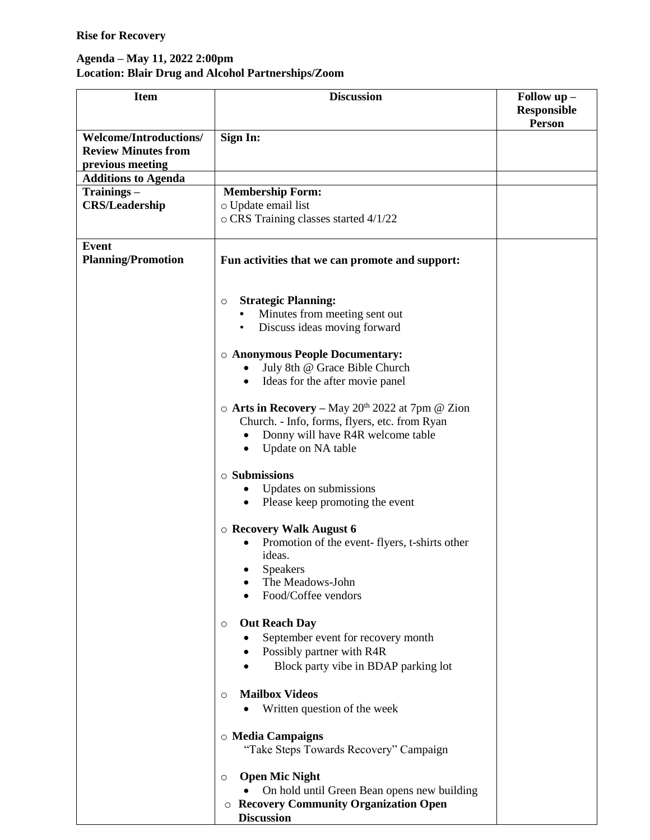## **Rise for Recovery**

## **Agenda – May 11, 2022 2:00pm Location: Blair Drug and Alcohol Partnerships/Zoom**

| <b>Item</b>                                                 | <b>Discussion</b>                                                                                                   | Follow up -<br><b>Responsible</b><br>Person |
|-------------------------------------------------------------|---------------------------------------------------------------------------------------------------------------------|---------------------------------------------|
| <b>Welcome/Introductions/</b><br><b>Review Minutes from</b> | Sign In:                                                                                                            |                                             |
| previous meeting<br><b>Additions to Agenda</b>              |                                                                                                                     |                                             |
| Trainings –                                                 | <b>Membership Form:</b>                                                                                             |                                             |
| <b>CRS/Leadership</b>                                       | o Update email list                                                                                                 |                                             |
|                                                             | o CRS Training classes started 4/1/22                                                                               |                                             |
| <b>Event</b>                                                |                                                                                                                     |                                             |
| <b>Planning/Promotion</b>                                   | Fun activities that we can promote and support:                                                                     |                                             |
|                                                             | <b>Strategic Planning:</b><br>O                                                                                     |                                             |
|                                                             | Minutes from meeting sent out                                                                                       |                                             |
|                                                             | Discuss ideas moving forward<br>$\bullet$                                                                           |                                             |
|                                                             | <b>O Anonymous People Documentary:</b>                                                                              |                                             |
|                                                             | July 8th @ Grace Bible Church<br>٠                                                                                  |                                             |
|                                                             | Ideas for the after movie panel<br>$\bullet$                                                                        |                                             |
|                                                             |                                                                                                                     |                                             |
|                                                             | $\circ$ Arts in Recovery – May 20 <sup>th</sup> 2022 at 7pm @ Zion<br>Church. - Info, forms, flyers, etc. from Ryan |                                             |
|                                                             | Donny will have R4R welcome table<br>٠                                                                              |                                             |
|                                                             | Update on NA table<br>٠                                                                                             |                                             |
|                                                             | $\circ$ Submissions                                                                                                 |                                             |
|                                                             | Updates on submissions                                                                                              |                                             |
|                                                             | Please keep promoting the event<br>$\bullet$                                                                        |                                             |
|                                                             |                                                                                                                     |                                             |
|                                                             | $\circ$ Recovery Walk August 6<br>Promotion of the event-flyers, t-shirts other                                     |                                             |
|                                                             | ideas.                                                                                                              |                                             |
|                                                             | Speakers                                                                                                            |                                             |
|                                                             | The Meadows-John                                                                                                    |                                             |
|                                                             | Food/Coffee vendors                                                                                                 |                                             |
|                                                             | <b>Out Reach Day</b><br>$\circ$                                                                                     |                                             |
|                                                             | September event for recovery month                                                                                  |                                             |
|                                                             | Possibly partner with R4R<br>$\bullet$                                                                              |                                             |
|                                                             | Block party vibe in BDAP parking lot                                                                                |                                             |
|                                                             | <b>Mailbox Videos</b><br>O                                                                                          |                                             |
|                                                             | Written question of the week                                                                                        |                                             |
|                                                             |                                                                                                                     |                                             |
|                                                             | <b>O</b> Media Campaigns                                                                                            |                                             |
|                                                             | "Take Steps Towards Recovery" Campaign                                                                              |                                             |
|                                                             | <b>Open Mic Night</b><br>O                                                                                          |                                             |
|                                                             | On hold until Green Bean opens new building                                                                         |                                             |
|                                                             | <b>Recovery Community Organization Open</b><br>O                                                                    |                                             |
|                                                             | <b>Discussion</b>                                                                                                   |                                             |